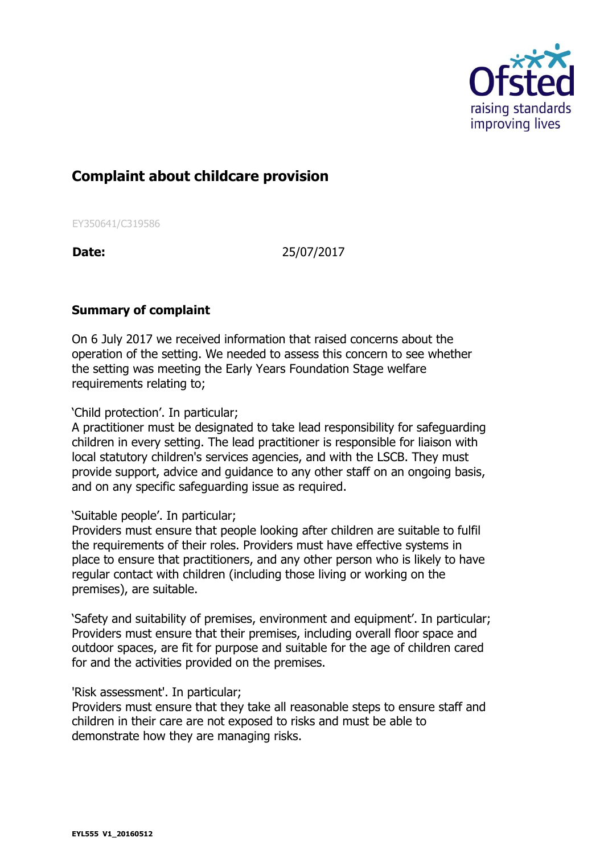

# **Complaint about childcare provision**

EY350641/C319586

**Date:** 25/07/2017

## **Summary of complaint**

On 6 July 2017 we received information that raised concerns about the operation of the setting. We needed to assess this concern to see whether the setting was meeting the Early Years Foundation Stage welfare requirements relating to;

### 'Child protection'. In particular;

A practitioner must be designated to take lead responsibility for safeguarding children in every setting. The lead practitioner is responsible for liaison with local statutory children's services agencies, and with the LSCB. They must provide support, advice and guidance to any other staff on an ongoing basis, and on any specific safeguarding issue as required.

#### 'Suitable people'. In particular;

Providers must ensure that people looking after children are suitable to fulfil the requirements of their roles. Providers must have effective systems in place to ensure that practitioners, and any other person who is likely to have regular contact with children (including those living or working on the premises), are suitable.

'Safety and suitability of premises, environment and equipment'. In particular; Providers must ensure that their premises, including overall floor space and outdoor spaces, are fit for purpose and suitable for the age of children cared for and the activities provided on the premises.

#### 'Risk assessment'. In particular;

Providers must ensure that they take all reasonable steps to ensure staff and children in their care are not exposed to risks and must be able to demonstrate how they are managing risks.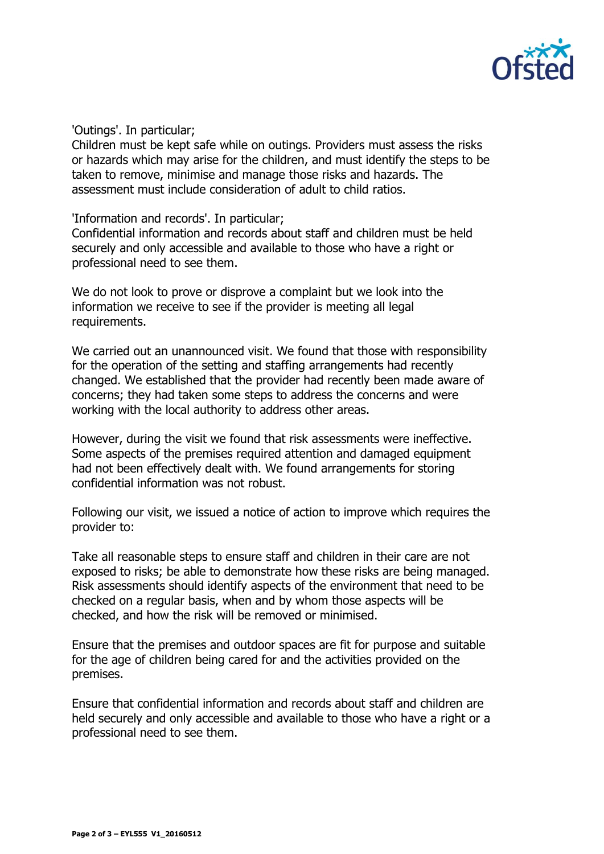

'Outings'. In particular;

Children must be kept safe while on outings. Providers must assess the risks or hazards which may arise for the children, and must identify the steps to be taken to remove, minimise and manage those risks and hazards. The assessment must include consideration of adult to child ratios.

'Information and records'. In particular;

Confidential information and records about staff and children must be held securely and only accessible and available to those who have a right or professional need to see them.

We do not look to prove or disprove a complaint but we look into the information we receive to see if the provider is meeting all legal requirements.

We carried out an unannounced visit. We found that those with responsibility for the operation of the setting and staffing arrangements had recently changed. We established that the provider had recently been made aware of concerns; they had taken some steps to address the concerns and were working with the local authority to address other areas.

However, during the visit we found that risk assessments were ineffective. Some aspects of the premises required attention and damaged equipment had not been effectively dealt with. We found arrangements for storing confidential information was not robust.

Following our visit, we issued a notice of action to improve which requires the provider to:

Take all reasonable steps to ensure staff and children in their care are not exposed to risks; be able to demonstrate how these risks are being managed. Risk assessments should identify aspects of the environment that need to be checked on a regular basis, when and by whom those aspects will be checked, and how the risk will be removed or minimised.

Ensure that the premises and outdoor spaces are fit for purpose and suitable for the age of children being cared for and the activities provided on the premises.

Ensure that confidential information and records about staff and children are held securely and only accessible and available to those who have a right or a professional need to see them.